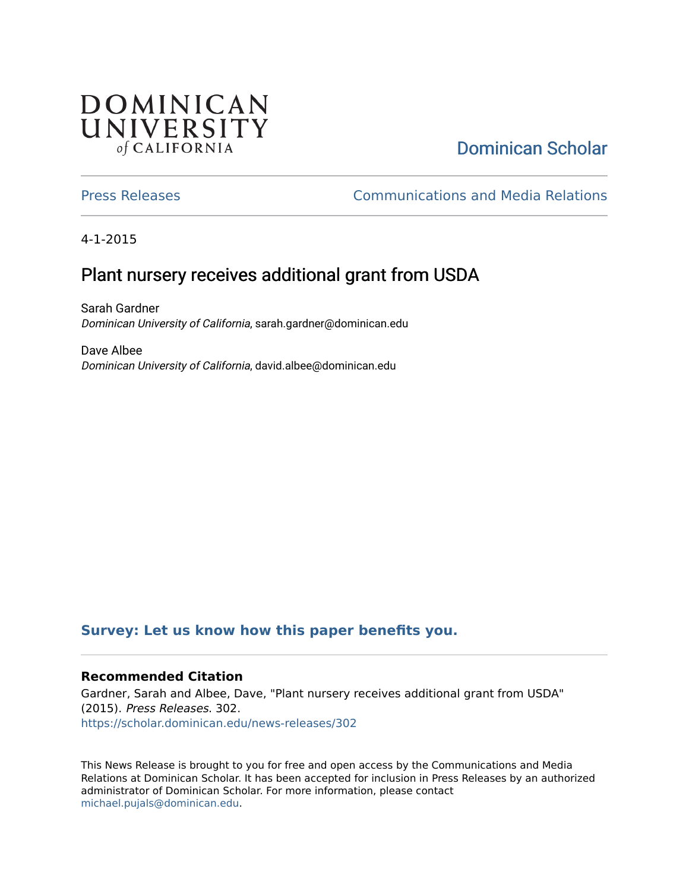## **DOMINICAN** UNIVERSITY of CALIFORNIA

# [Dominican Scholar](https://scholar.dominican.edu/)

[Press Releases](https://scholar.dominican.edu/news-releases) [Communications and Media Relations](https://scholar.dominican.edu/communications-media) 

4-1-2015

## Plant nursery receives additional grant from USDA

Sarah Gardner Dominican University of California, sarah.gardner@dominican.edu

Dave Albee Dominican University of California, david.albee@dominican.edu

#### **[Survey: Let us know how this paper benefits you.](https://dominican.libwizard.com/dominican-scholar-feedback)**

#### **Recommended Citation**

Gardner, Sarah and Albee, Dave, "Plant nursery receives additional grant from USDA" (2015). Press Releases. 302. [https://scholar.dominican.edu/news-releases/302](https://scholar.dominican.edu/news-releases/302?utm_source=scholar.dominican.edu%2Fnews-releases%2F302&utm_medium=PDF&utm_campaign=PDFCoverPages)

This News Release is brought to you for free and open access by the Communications and Media Relations at Dominican Scholar. It has been accepted for inclusion in Press Releases by an authorized administrator of Dominican Scholar. For more information, please contact [michael.pujals@dominican.edu.](mailto:michael.pujals@dominican.edu)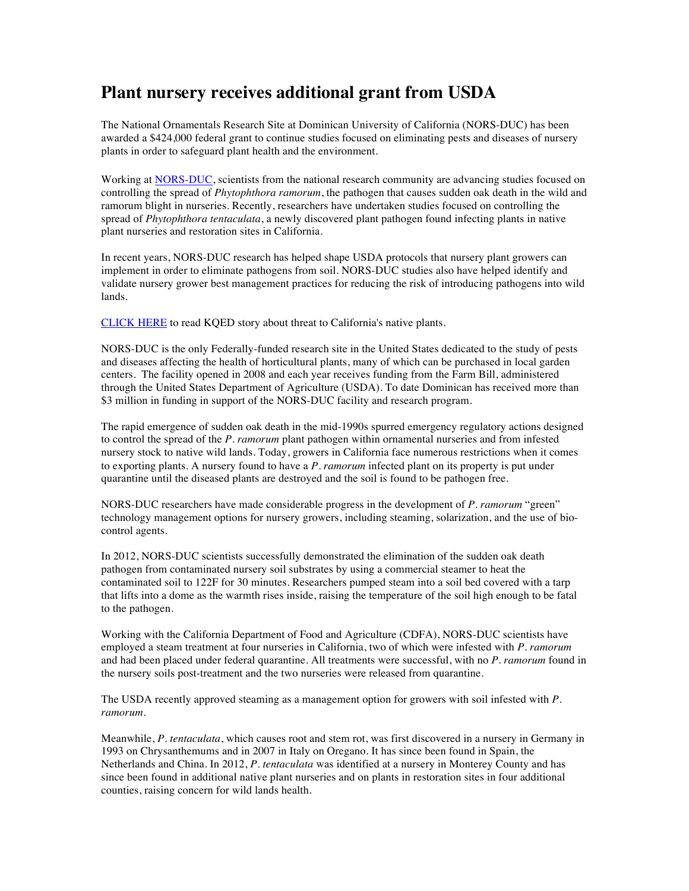### **Plant nursery receives additional grant from USDA**

The National Ornamentals Research Site at Dominican University of California (NORS-DUC) has been awarded a \$424,000 federal grant to continue studies focused on eliminating pests and diseases of nursery plants in order to safeguard plant health and the environment.

Working at NORS-DUC, scientists from the national research community are advancing studies focused on controlling the spread of *Phytophthora ramorum*, the pathogen that causes sudden oak death in the wild and ramorum blight in nurseries. Recently, researchers have undertaken studies focused on controlling the spread of *Phytophthora tentaculata*, a newly discovered plant pathogen found infecting plants in native plant nurseries and restoration sites in California.

In recent years, NORS-DUC research has helped shape USDA protocols that nursery plant growers can implement in order to eliminate pathogens from soil. NORS-DUC studies also have helped identify and validate nursery grower best management practices for reducing the risk of introducing pathogens into wild lands.

CLICK HERE to read KQED story about threat to California's native plants.

NORS-DUC is the only Federally-funded research site in the United States dedicated to the study of pests and diseases affecting the health of horticultural plants, many of which can be purchased in local garden centers. The facility opened in 2008 and each year receives funding from the Farm Bill, administered through the United States Department of Agriculture (USDA). To date Dominican has received more than \$3 million in funding in support of the NORS-DUC facility and research program.

The rapid emergence of sudden oak death in the mid-1990s spurred emergency regulatory actions designed to control the spread of the *P. ramorum* plant pathogen within ornamental nurseries and from infested nursery stock to native wild lands. Today, growers in California face numerous restrictions when it comes to exporting plants. A nursery found to have a *P. ramorum* infected plant on its property is put under quarantine until the diseased plants are destroyed and the soil is found to be pathogen free.

NORS-DUC researchers have made considerable progress in the development of *P. ramorum* "green" technology management options for nursery growers, including steaming, solarization, and the use of biocontrol agents.

In 2012, NORS-DUC scientists successfully demonstrated the elimination of the sudden oak death pathogen from contaminated nursery soil substrates by using a commercial steamer to heat the contaminated soil to 122F for 30 minutes. Researchers pumped steam into a soil bed covered with a tarp that lifts into a dome as the warmth rises inside, raising the temperature of the soil high enough to be fatal to the pathogen.

Working with the California Department of Food and Agriculture (CDFA), NORS-DUC scientists have employed a steam treatment at four nurseries in California, two of which were infested with *P. ramorum*  and had been placed under federal quarantine. All treatments were successful, with no *P. ramorum* found in the nursery soils post-treatment and the two nurseries were released from quarantine.

The USDA recently approved steaming as a management option for growers with soil infested with *P. ramorum*.

Meanwhile, *P. tentaculata*, which causes root and stem rot, was first discovered in a nursery in Germany in 1993 on Chrysanthemums and in 2007 in Italy on Oregano. It has since been found in Spain, the Netherlands and China. In 2012, *P. tentaculata* was identified at a nursery in Monterey County and has since been found in additional native plant nurseries and on plants in restoration sites in four additional counties, raising concern for wild lands health.